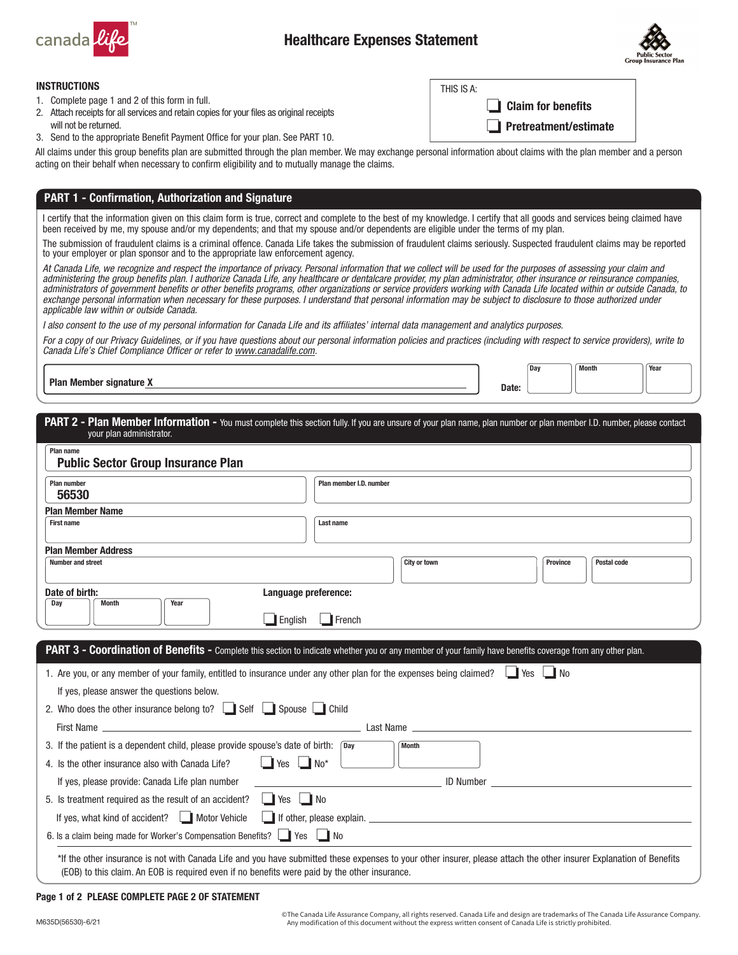

THIS IS A:



## INSTRUCTIONS

- 1. Complete page 1 and 2 of this form in full.
- 2. Attach receipts for all services and retain copies for your files as original receipts will not be returned.
- 3. Send to the appropriate Benefit Payment Office for your plan. See PART 10.

All claims under this group benefits plan are submitted through the plan member. We may exchange personal information about claims with the plan member and a person acting on their behalf when necessary to confirm eligibility and to mutually manage the claims.

# PART 1 - Confirmation, Authorization and Signature

I certify that the information given on this claim form is true, correct and complete to the best of my knowledge. I certify that all goods and services being claimed have been received by me, my spouse and/or my dependents; and that my spouse and/or dependents are eligible under the terms of my plan.

The submission of fraudulent claims is a criminal offence. Canada Life takes the submission of fraudulent claims seriously. Suspected fraudulent claims may be reported to your employer or plan sponsor and to the appropriate law enforcement agency.

*At Canada Life, we recognize and respect the importance of privacy. Personal information that we collect will be used for the purposes of assessing your claim and*  administering the group benefits plan. I authorize Canada Life, any healthcare or dentalcare provider, my plan administrator, other insurance or reinsurance companies, administrators of government benefits or other benefits programs, other organizations or service providers working with Canada Life located within or outside Canada, to exchange personal information when necessary for these purposes. I understand that personal information may be subject to disclosure to those authorized under *applicable law within or outside Canada.*

I also consent to the use of my personal information for Canada Life and its affiliates' internal data management and analytics purposes.

*For a copy of our Privacy Guidelines, or if you have questions about our personal information policies and practices (including with respect to service providers), write to Canada Life's Chief Compliance Officer or refer to [www.canadalife.com.](http://www.canadalife.com)*

Plan Member signature X and the Contract of the Contract of the Contract of the Contract of the Contract of the Contract of the Contract of the Contract of the Contract of the Contract of the Contract of the Contract of th

 $\Box$  Claim for benefits

Pretreatment/estimate



| PART 2 - Plan Member Information - You must complete this section fully. If you are unsure of your plan name, plan number or plan member I.D. number, please contact |  |  |  |
|----------------------------------------------------------------------------------------------------------------------------------------------------------------------|--|--|--|
| vour plan administrator.                                                                                                                                             |  |  |  |

| <b>Plan number</b><br>56530                                                                                                                                                                                                                                             | Plan member I.D. number                                                                                                                                                                                                                                                            |
|-------------------------------------------------------------------------------------------------------------------------------------------------------------------------------------------------------------------------------------------------------------------------|------------------------------------------------------------------------------------------------------------------------------------------------------------------------------------------------------------------------------------------------------------------------------------|
| <b>Plan Member Name</b>                                                                                                                                                                                                                                                 |                                                                                                                                                                                                                                                                                    |
| <b>First name</b>                                                                                                                                                                                                                                                       | Last name                                                                                                                                                                                                                                                                          |
| <b>Plan Member Address</b>                                                                                                                                                                                                                                              |                                                                                                                                                                                                                                                                                    |
| <b>Number and street</b>                                                                                                                                                                                                                                                | City or town<br><b>Postal code</b><br><b>Province</b>                                                                                                                                                                                                                              |
| Date of birth:                                                                                                                                                                                                                                                          | Language preference:                                                                                                                                                                                                                                                               |
| Year<br>Day<br><b>Month</b>                                                                                                                                                                                                                                             |                                                                                                                                                                                                                                                                                    |
| $\blacksquare$ English                                                                                                                                                                                                                                                  | $\Box$ French                                                                                                                                                                                                                                                                      |
|                                                                                                                                                                                                                                                                         | PART 3 - Coordination of Benefits - Complete this section to indicate whether you or any member of your family have benefits coverage from any other plan.<br>1. Are you, or any member of your family, entitled to insurance under any other plan for the expenses being claimed? |
| If yes, please answer the questions below.<br>2. Who does the other insurance belong to? $\Box$ Self $\Box$ Spouse $\Box$ Child                                                                                                                                         |                                                                                                                                                                                                                                                                                    |
|                                                                                                                                                                                                                                                                         |                                                                                                                                                                                                                                                                                    |
|                                                                                                                                                                                                                                                                         | <b>Month</b>                                                                                                                                                                                                                                                                       |
| $\Box$ Yes $\Box$ No*                                                                                                                                                                                                                                                   |                                                                                                                                                                                                                                                                                    |
| If yes, please provide: Canada Life plan number                                                                                                                                                                                                                         |                                                                                                                                                                                                                                                                                    |
|                                                                                                                                                                                                                                                                         |                                                                                                                                                                                                                                                                                    |
| 3. If the patient is a dependent child, please provide spouse's date of birth: Day<br>4. Is the other insurance also with Canada Life?<br>5. Is treatment required as the result of an accident? $\Box$ Yes $\Box$ No<br>If yes, what kind of accident?   Motor Vehicle |                                                                                                                                                                                                                                                                                    |

### Page 1 of 2 PLEASE COMPLETE PAGE 2 OF STATEMENT

© The Canada Life Assurance Company, all rights reserved. Canada Life and design are trademarks of The Canada Life Assurance Company. Any modification of this document without the express written consent of Canada Life is strictly prohibited.